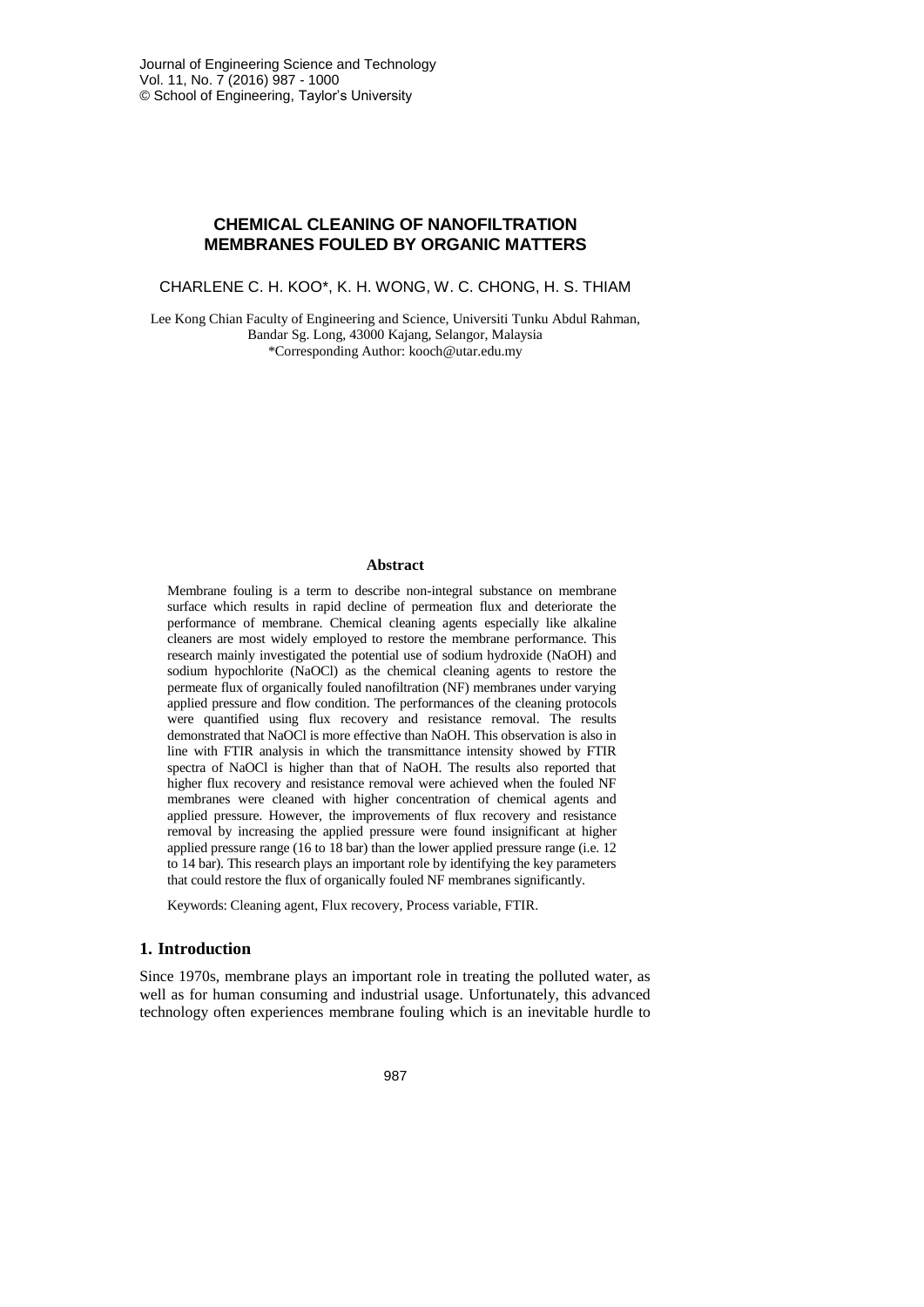# **CHEMICAL CLEANING OF NANOFILTRATION MEMBRANES FOULED BY ORGANIC MATTERS**

CHARLENE C. H. KOO\*, K. H. WONG, W. C. CHONG, H. S. THIAM

Lee Kong Chian Faculty of Engineering and Science, Universiti Tunku Abdul Rahman, Bandar Sg. Long, 43000 Kajang, Selangor, Malaysia \*Corresponding Author: kooch@utar.edu.my

#### **Abstract**

Membrane fouling is a term to describe non-integral substance on membrane surface which results in rapid decline of permeation flux and deteriorate the performance of membrane. Chemical cleaning agents especially like alkaline cleaners are most widely employed to restore the membrane performance. This research mainly investigated the potential use of sodium hydroxide (NaOH) and sodium hypochlorite (NaOCl) as the chemical cleaning agents to restore the permeate flux of organically fouled nanofiltration (NF) membranes under varying applied pressure and flow condition. The performances of the cleaning protocols were quantified using flux recovery and resistance removal. The results demonstrated that NaOCl is more effective than NaOH. This observation is also in line with FTIR analysis in which the transmittance intensity showed by FTIR spectra of NaOCl is higher than that of NaOH. The results also reported that higher flux recovery and resistance removal were achieved when the fouled NF membranes were cleaned with higher concentration of chemical agents and applied pressure. However, the improvements of flux recovery and resistance removal by increasing the applied pressure were found insignificant at higher applied pressure range (16 to 18 bar) than the lower applied pressure range (i.e. 12 to 14 bar). This research plays an important role by identifying the key parameters that could restore the flux of organically fouled NF membranes significantly.

Keywords: Cleaning agent, Flux recovery, Process variable, FTIR.

# **1. Introduction**

Since 1970s, membrane plays an important role in treating the polluted water, as well as for human consuming and industrial usage. Unfortunately, this advanced technology often experiences membrane fouling which is an inevitable hurdle to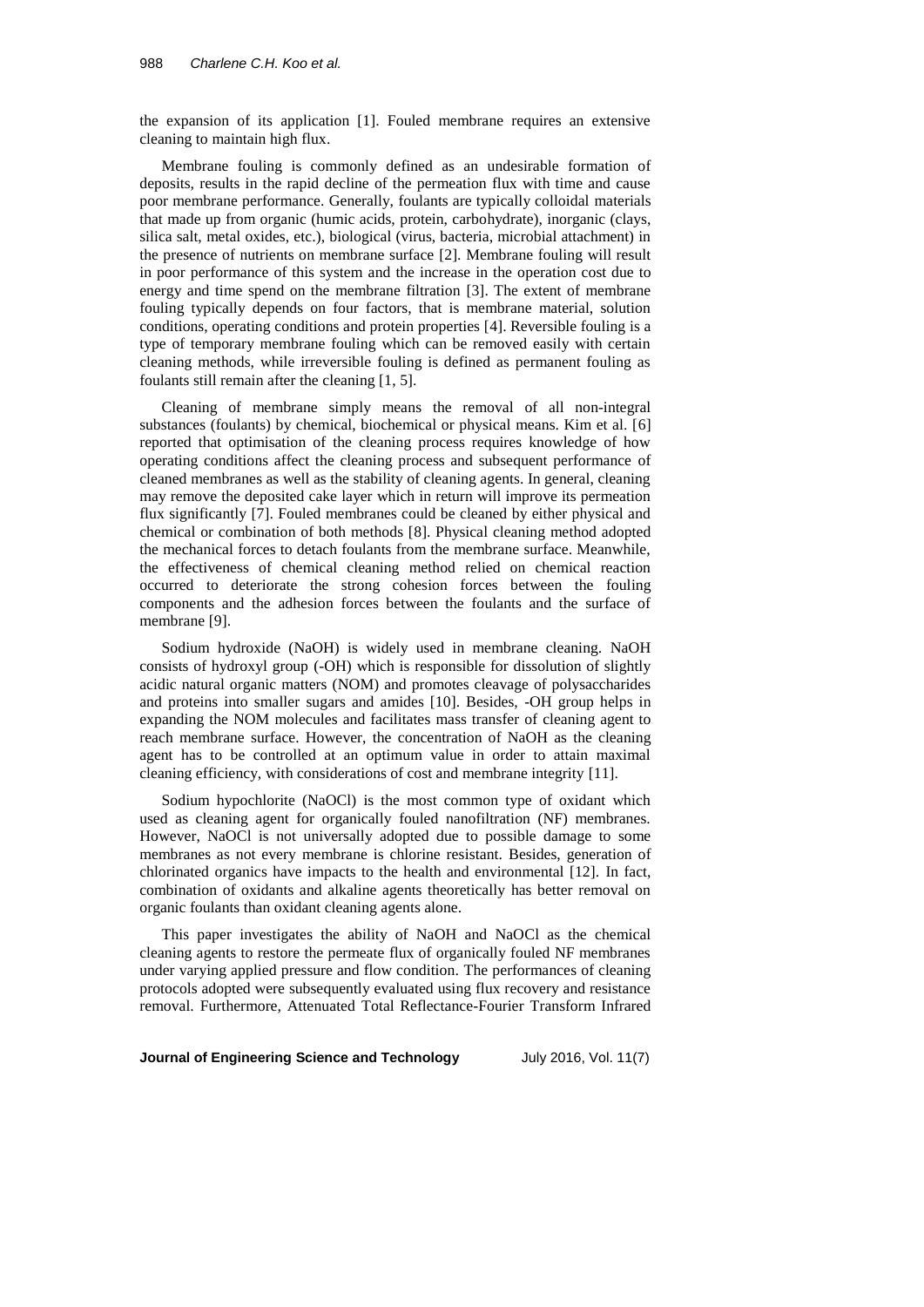the expansion of its application [1]. Fouled membrane requires an extensive cleaning to maintain high flux.

Membrane fouling is commonly defined as an undesirable formation of deposits, results in the rapid decline of the permeation flux with time and cause poor membrane performance. Generally, foulants are typically colloidal materials that made up from organic (humic acids, protein, carbohydrate), inorganic (clays, silica salt, metal oxides, etc.), biological (virus, bacteria, microbial attachment) in the presence of nutrients on membrane surface [2]. Membrane fouling will result in poor performance of this system and the increase in the operation cost due to energy and time spend on the membrane filtration [3]. The extent of membrane fouling typically depends on four factors, that is membrane material, solution conditions, operating conditions and protein properties [4]. Reversible fouling is a type of temporary membrane fouling which can be removed easily with certain cleaning methods, while irreversible fouling is defined as permanent fouling as foulants still remain after the cleaning [1, 5].

Cleaning of membrane simply means the removal of all non-integral substances (foulants) by chemical, biochemical or physical means. Kim et al. [6] reported that optimisation of the cleaning process requires knowledge of how operating conditions affect the cleaning process and subsequent performance of cleaned membranes as well as the stability of cleaning agents. In general, cleaning may remove the deposited cake layer which in return will improve its permeation flux significantly [7]. Fouled membranes could be cleaned by either physical and chemical or combination of both methods [8]. Physical cleaning method adopted the mechanical forces to detach foulants from the membrane surface. Meanwhile, the effectiveness of chemical cleaning method relied on chemical reaction occurred to deteriorate the strong cohesion forces between the fouling components and the adhesion forces between the foulants and the surface of membrane [9].

Sodium hydroxide (NaOH) is widely used in membrane cleaning. NaOH consists of hydroxyl group (-OH) which is responsible for dissolution of slightly acidic natural organic matters (NOM) and promotes cleavage of polysaccharides and proteins into smaller sugars and amides [10]. Besides, -OH group helps in expanding the NOM molecules and facilitates mass transfer of cleaning agent to reach membrane surface. However, the concentration of NaOH as the cleaning agent has to be controlled at an optimum value in order to attain maximal cleaning efficiency, with considerations of cost and membrane integrity [11].

Sodium hypochlorite (NaOCl) is the most common type of oxidant which used as cleaning agent for organically fouled nanofiltration (NF) membranes. However, NaOCl is not universally adopted due to possible damage to some membranes as not every membrane is chlorine resistant. Besides, generation of chlorinated organics have impacts to the health and environmental [12]. In fact, combination of oxidants and alkaline agents theoretically has better removal on organic foulants than oxidant cleaning agents alone.

This paper investigates the ability of NaOH and NaOCl as the chemical cleaning agents to restore the permeate flux of organically fouled NF membranes under varying applied pressure and flow condition. The performances of cleaning protocols adopted were subsequently evaluated using flux recovery and resistance removal. Furthermore, Attenuated Total Reflectance-Fourier Transform Infrared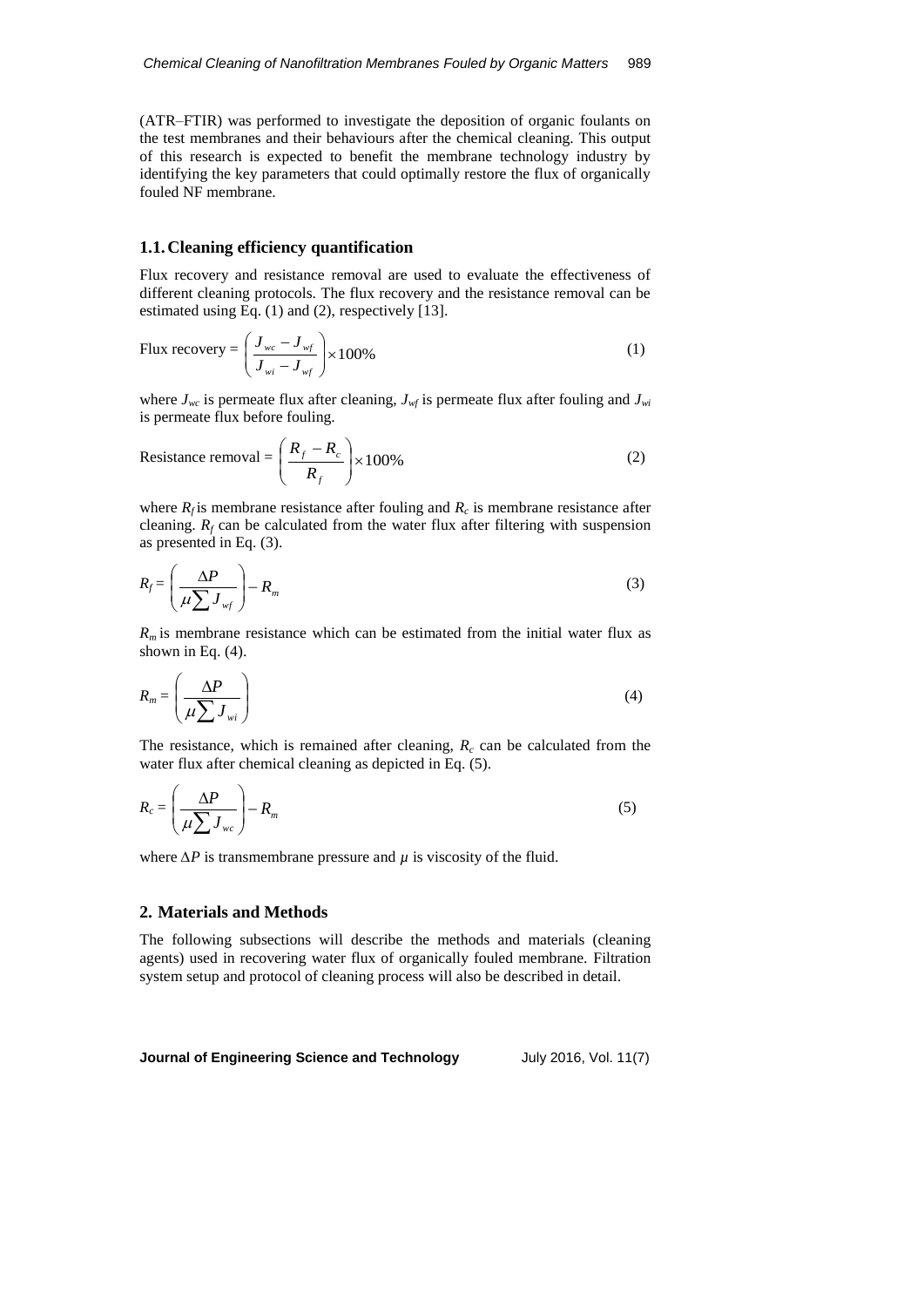(ATR–FTIR) was performed to investigate the deposition of organic foulants on the test membranes and their behaviours after the chemical cleaning. This output of this research is expected to benefit the membrane technology industry by identifying the key parameters that could optimally restore the flux of organically fouled NF membrane.

### **1.1.Cleaning efficiency quantification**

Flux recovery and resistance removal are used to evaluate the effectiveness of different cleaning protocols. The flux recovery and the resistance removal can be estimated using Eq. (1) and (2), respectively [13].

Flux recovery = 
$$
\left(\frac{J_{wc} - J_{wf}}{J_{wi} - J_{wf}}\right) \times 100\%
$$
 (1)

where  $J_{wc}$  is permeate flux after cleaning,  $J_{wf}$  is permeate flux after fouling and  $J_{wi}$ is permeate flux before fouling.

Resistance removal = 
$$
\left(\frac{R_f - R_c}{R_f}\right) \times 100\%
$$
 (2)

where  $R_f$  is membrane resistance after fouling and  $R_c$  is membrane resistance after cleaning.  $R_f$  can be calculated from the water flux after filtering with suspension as presented in Eq. (3).

$$
R_f = \left(\frac{\Delta P}{\mu \sum J_{wf}}\right) - R_m \tag{3}
$$

 $R<sub>m</sub>$  is membrane resistance which can be estimated from the initial water flux as shown in Eq.  $(4)$ .

$$
R_m = \left(\frac{\Delta P}{\mu \sum J_{wi}}\right) \tag{4}
$$

The resistance, which is remained after cleaning,  $R_c$  can be calculated from the water flux after chemical cleaning as depicted in Eq. (5).

$$
R_c = \left(\frac{\Delta P}{\mu \sum J_{wc}}\right) - R_m \tag{5}
$$

where  $\Delta P$  is transmembrane pressure and  $\mu$  is viscosity of the fluid.

# **2. Materials and Methods**

The following subsections will describe the methods and materials (cleaning agents) used in recovering water flux of organically fouled membrane. Filtration system setup and protocol of cleaning process will also be described in detail.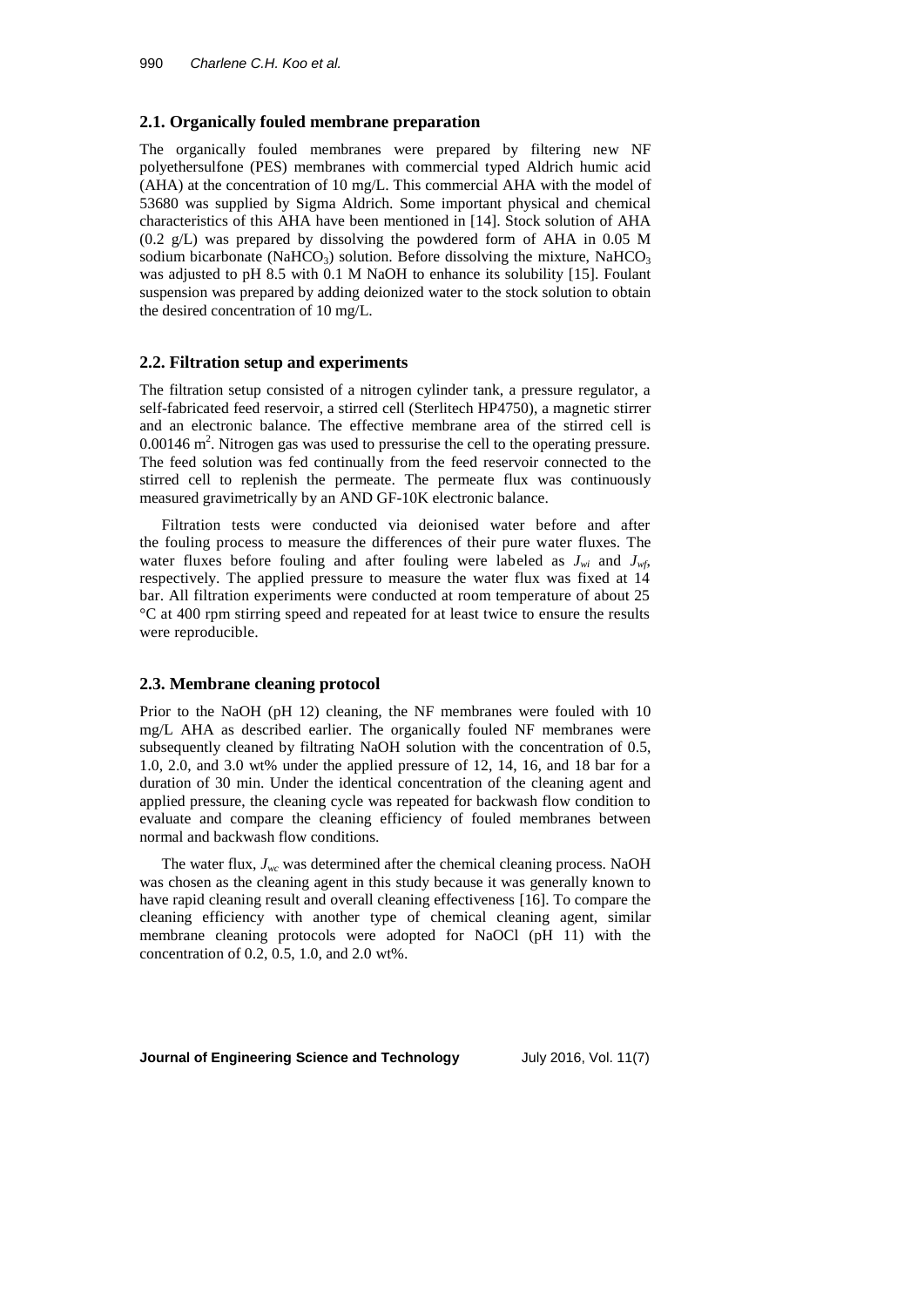#### **2.1. Organically fouled membrane preparation**

The organically fouled membranes were prepared by filtering new NF polyethersulfone (PES) membranes with commercial typed Aldrich humic acid (AHA) at the concentration of 10 mg/L. This commercial AHA with the model of 53680 was supplied by Sigma Aldrich. Some important physical and chemical characteristics of this AHA have been mentioned in [14]. Stock solution of AHA (0.2 g/L) was prepared by dissolving the powdered form of AHA in 0.05 M sodium bicarbonate (NaHCO<sub>3</sub>) solution. Before dissolving the mixture, NaHCO<sub>3</sub> was adjusted to pH 8.5 with 0.1 M NaOH to enhance its solubility [15]. Foulant suspension was prepared by adding deionized water to the stock solution to obtain the desired concentration of 10 mg/L.

#### **2.2. Filtration setup and experiments**

The filtration setup consisted of a nitrogen cylinder tank, a pressure regulator, a self-fabricated feed reservoir, a stirred cell (Sterlitech HP4750), a magnetic stirrer and an electronic balance. The effective membrane area of the stirred cell is  $0.00146$  m<sup>2</sup>. Nitrogen gas was used to pressurise the cell to the operating pressure. The feed solution was fed continually from the feed reservoir connected to the stirred cell to replenish the permeate. The permeate flux was continuously measured gravimetrically by an AND GF-10K electronic balance.

Filtration tests were conducted via deionised water before and after the fouling process to measure the differences of their pure water fluxes. The water fluxes before fouling and after fouling were labeled as  $J_{wi}$  and  $J_{wf}$ respectively. The applied pressure to measure the water flux was fixed at 14 bar. All filtration experiments were conducted at room temperature of about 25 °C at 400 rpm stirring speed and repeated for at least twice to ensure the results were reproducible.

#### **2.3. Membrane cleaning protocol**

Prior to the NaOH (pH 12) cleaning, the NF membranes were fouled with 10 mg/L AHA as described earlier. The organically fouled NF membranes were subsequently cleaned by filtrating NaOH solution with the concentration of 0.5, 1.0, 2.0, and 3.0 wt% under the applied pressure of 12, 14, 16, and 18 bar for a duration of 30 min. Under the identical concentration of the cleaning agent and applied pressure, the cleaning cycle was repeated for backwash flow condition to evaluate and compare the cleaning efficiency of fouled membranes between normal and backwash flow conditions.

The water flux,  $J_{wc}$  was determined after the chemical cleaning process. NaOH was chosen as the cleaning agent in this study because it was generally known to have rapid cleaning result and overall cleaning effectiveness [16]. To compare the cleaning efficiency with another type of chemical cleaning agent, similar membrane cleaning protocols were adopted for NaOCl (pH 11) with the concentration of 0.2, 0.5, 1.0, and 2.0 wt%.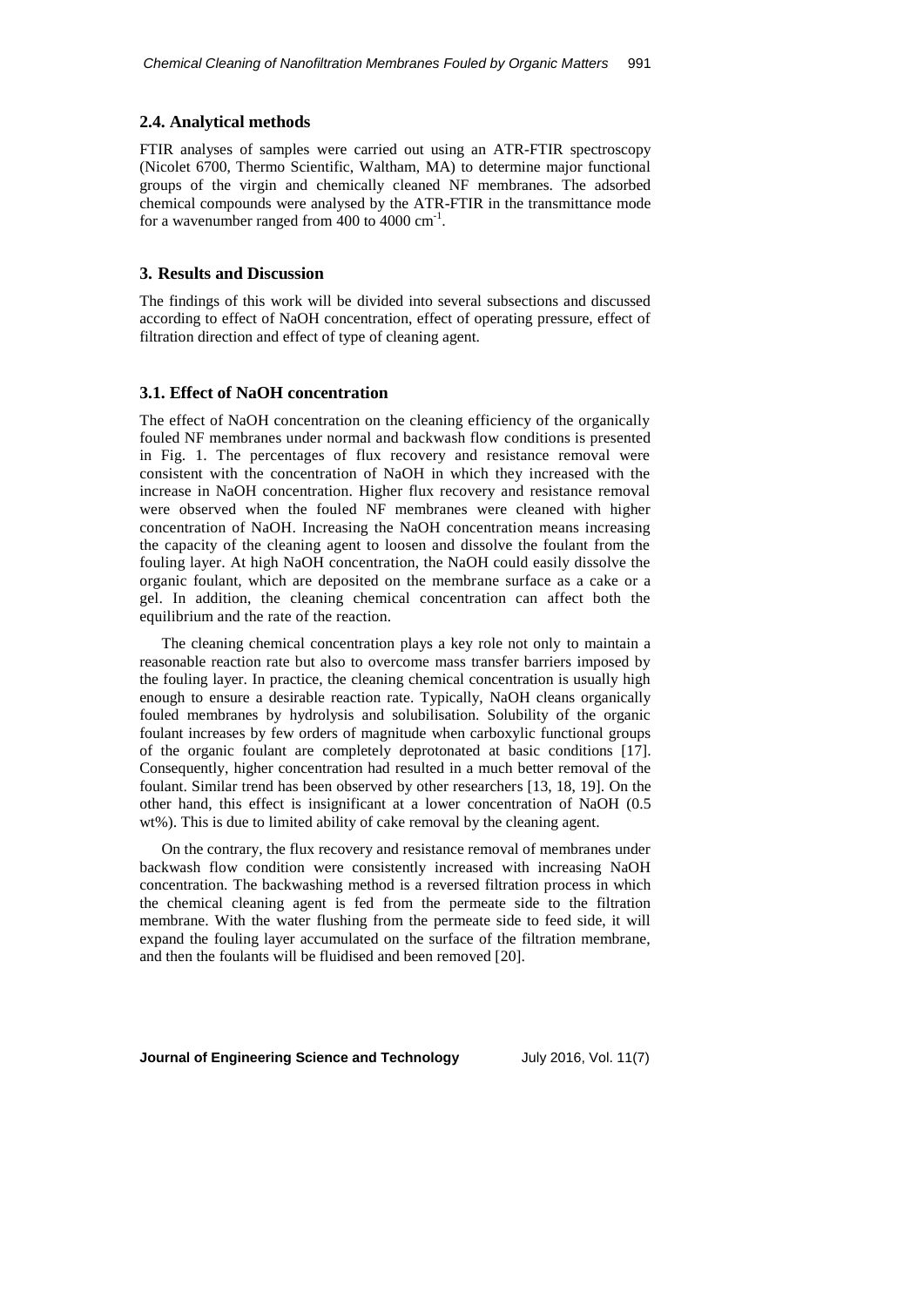## **2.4. Analytical methods**

FTIR analyses of samples were carried out using an ATR-FTIR spectroscopy (Nicolet 6700, Thermo Scientific, Waltham, MA) to determine major functional groups of the virgin and chemically cleaned NF membranes. The adsorbed chemical compounds were analysed by the ATR-FTIR in the transmittance mode for a wavenumber ranged from  $400$  to  $4000 \text{ cm}^{-1}$ .

# **3. Results and Discussion**

The findings of this work will be divided into several subsections and discussed according to effect of NaOH concentration, effect of operating pressure, effect of filtration direction and effect of type of cleaning agent.

#### **3.1. Effect of NaOH concentration**

The effect of NaOH concentration on the cleaning efficiency of the organically fouled NF membranes under normal and backwash flow conditions is presented in Fig. 1. The percentages of flux recovery and resistance removal were consistent with the concentration of NaOH in which they increased with the increase in NaOH concentration. Higher flux recovery and resistance removal were observed when the fouled NF membranes were cleaned with higher concentration of NaOH. Increasing the NaOH concentration means increasing the capacity of the cleaning agent to loosen and dissolve the foulant from the fouling layer. At high NaOH concentration, the NaOH could easily dissolve the organic foulant, which are deposited on the membrane surface as a cake or a gel. In addition, the cleaning chemical concentration can affect both the equilibrium and the rate of the reaction.

The cleaning chemical concentration plays a key role not only to maintain a reasonable reaction rate but also to overcome mass transfer barriers imposed by the fouling layer. In practice, the cleaning chemical concentration is usually high enough to ensure a desirable reaction rate. Typically, NaOH cleans organically fouled membranes by hydrolysis and solubilisation. Solubility of the organic foulant increases by few orders of magnitude when carboxylic functional groups of the organic foulant are completely deprotonated at basic conditions [17]. Consequently, higher concentration had resulted in a much better removal of the foulant. Similar trend has been observed by other researchers [13, 18, 19]. On the other hand, this effect is insignificant at a lower concentration of NaOH (0.5 wt%). This is due to limited ability of cake removal by the cleaning agent.

On the contrary, the flux recovery and resistance removal of membranes under backwash flow condition were consistently increased with increasing NaOH concentration. The backwashing method is a reversed filtration process in which the chemical cleaning agent is fed from the permeate side to the filtration membrane. With the water flushing from the permeate side to feed side, it will expand the fouling layer accumulated on the surface of the filtration membrane, and then the foulants will be fluidised and been removed [20].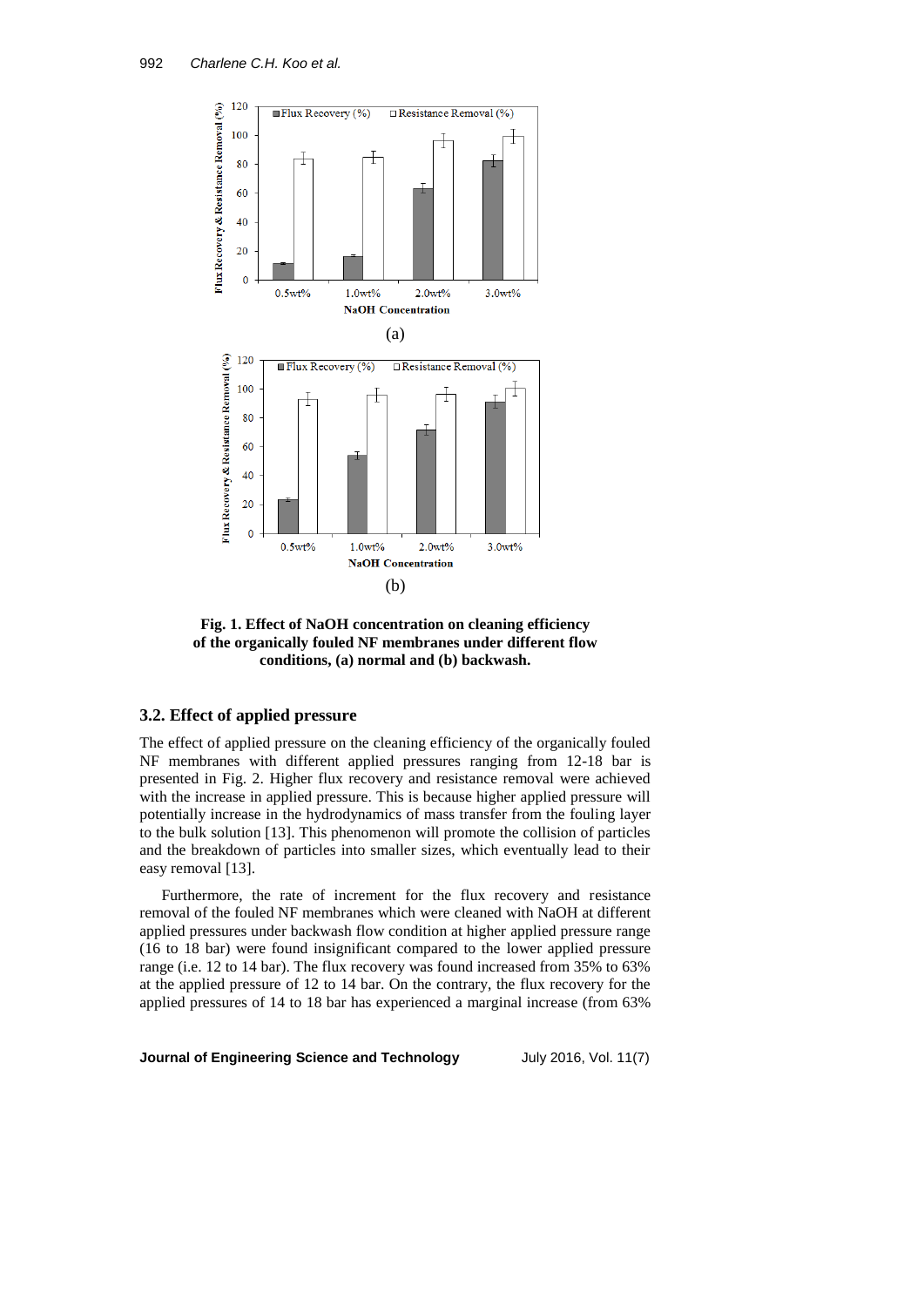

**Fig. 1. Effect of NaOH concentration on cleaning efficiency of the organically fouled NF membranes under different flow conditions, (a) normal and (b) backwash.**

# **3.2. Effect of applied pressure**

The effect of applied pressure on the cleaning efficiency of the organically fouled NF membranes with different applied pressures ranging from 12-18 bar is presented in Fig. 2. Higher flux recovery and resistance removal were achieved with the increase in applied pressure. This is because higher applied pressure will potentially increase in the hydrodynamics of mass transfer from the fouling layer to the bulk solution [13]. This phenomenon will promote the collision of particles and the breakdown of particles into smaller sizes, which eventually lead to their easy removal [13].

Furthermore, the rate of increment for the flux recovery and resistance removal of the fouled NF membranes which were cleaned with NaOH at different applied pressures under backwash flow condition at higher applied pressure range (16 to 18 bar) were found insignificant compared to the lower applied pressure range (i.e. 12 to 14 bar). The flux recovery was found increased from 35% to 63% at the applied pressure of 12 to 14 bar. On the contrary, the flux recovery for the applied pressures of 14 to 18 bar has experienced a marginal increase (from 63%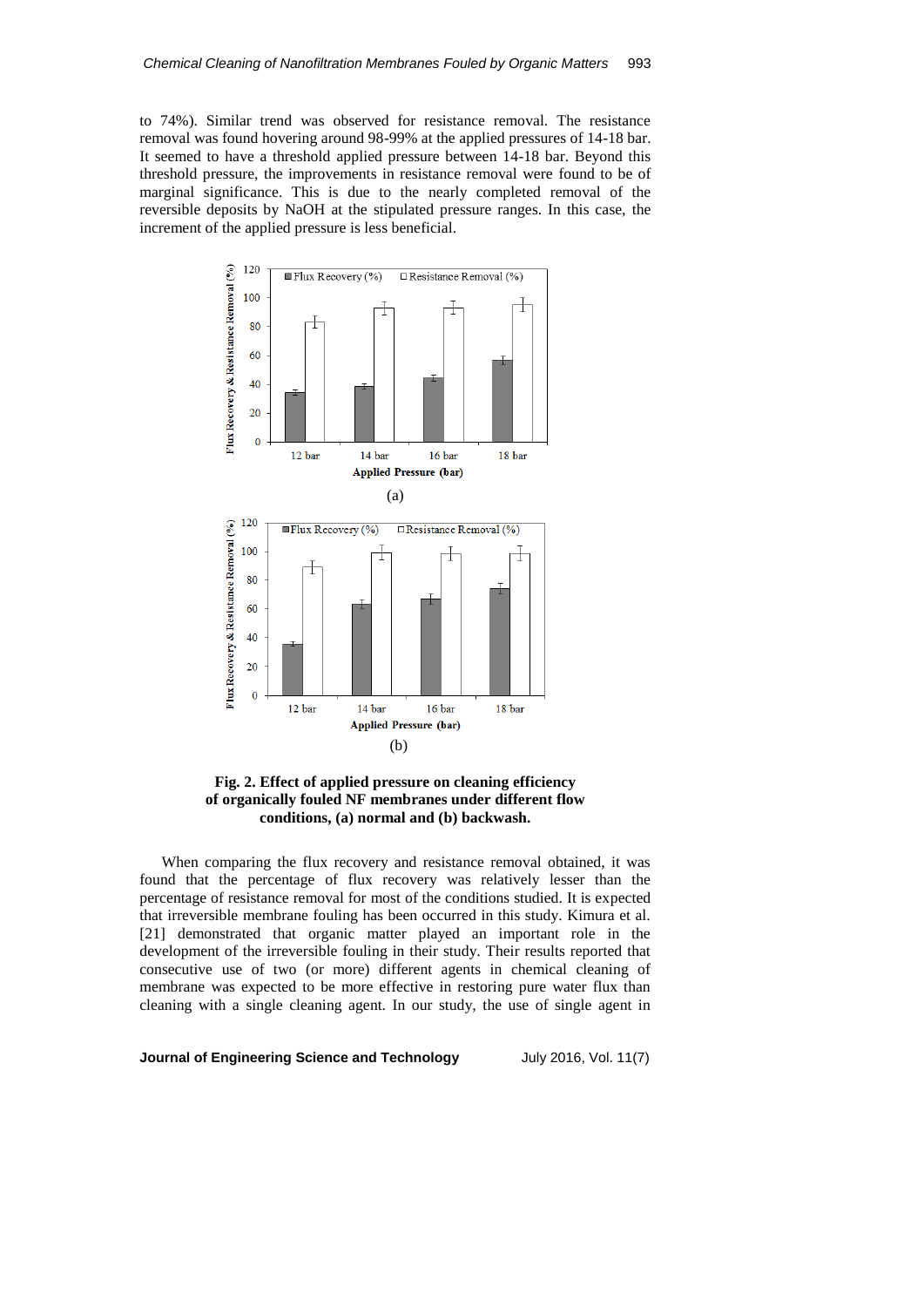to 74%). Similar trend was observed for resistance removal. The resistance removal was found hovering around 98-99% at the applied pressures of 14-18 bar. It seemed to have a threshold applied pressure between 14-18 bar. Beyond this threshold pressure, the improvements in resistance removal were found to be of marginal significance. This is due to the nearly completed removal of the reversible deposits by NaOH at the stipulated pressure ranges. In this case, the increment of the applied pressure is less beneficial.



**Fig. 2. Effect of applied pressure on cleaning efficiency of organically fouled NF membranes under different flow conditions, (a) normal and (b) backwash.**

When comparing the flux recovery and resistance removal obtained, it was found that the percentage of flux recovery was relatively lesser than the percentage of resistance removal for most of the conditions studied. It is expected that irreversible membrane fouling has been occurred in this study. Kimura et al. [21] demonstrated that organic matter played an important role in the development of the irreversible fouling in their study. Their results reported that consecutive use of two (or more) different agents in chemical cleaning of membrane was expected to be more effective in restoring pure water flux than cleaning with a single cleaning agent. In our study, the use of single agent in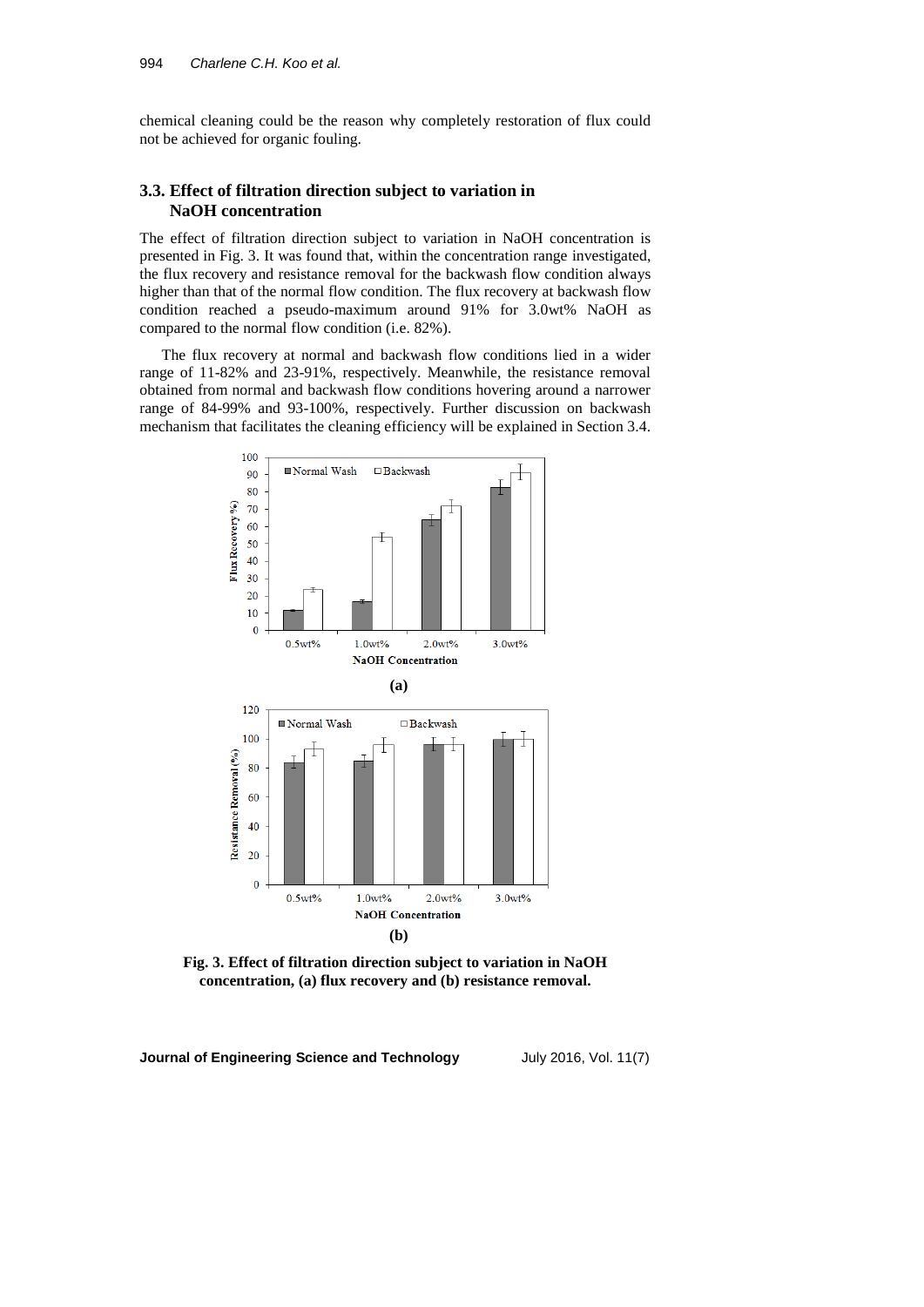chemical cleaning could be the reason why completely restoration of flux could not be achieved for organic fouling.

# **3.3. Effect of filtration direction subject to variation in NaOH concentration**

The effect of filtration direction subject to variation in NaOH concentration is presented in Fig. 3. It was found that, within the concentration range investigated, the flux recovery and resistance removal for the backwash flow condition always higher than that of the normal flow condition. The flux recovery at backwash flow condition reached a pseudo-maximum around 91% for 3.0wt% NaOH as compared to the normal flow condition (i.e. 82%).

The flux recovery at normal and backwash flow conditions lied in a wider range of 11-82% and 23-91%, respectively. Meanwhile, the resistance removal obtained from normal and backwash flow conditions hovering around a narrower range of 84-99% and 93-100%, respectively. Further discussion on backwash mechanism that facilitates the cleaning efficiency will be explained in Section 3.4.



**Fig. 3. Effect of filtration direction subject to variation in NaOH concentration, (a) flux recovery and (b) resistance removal.**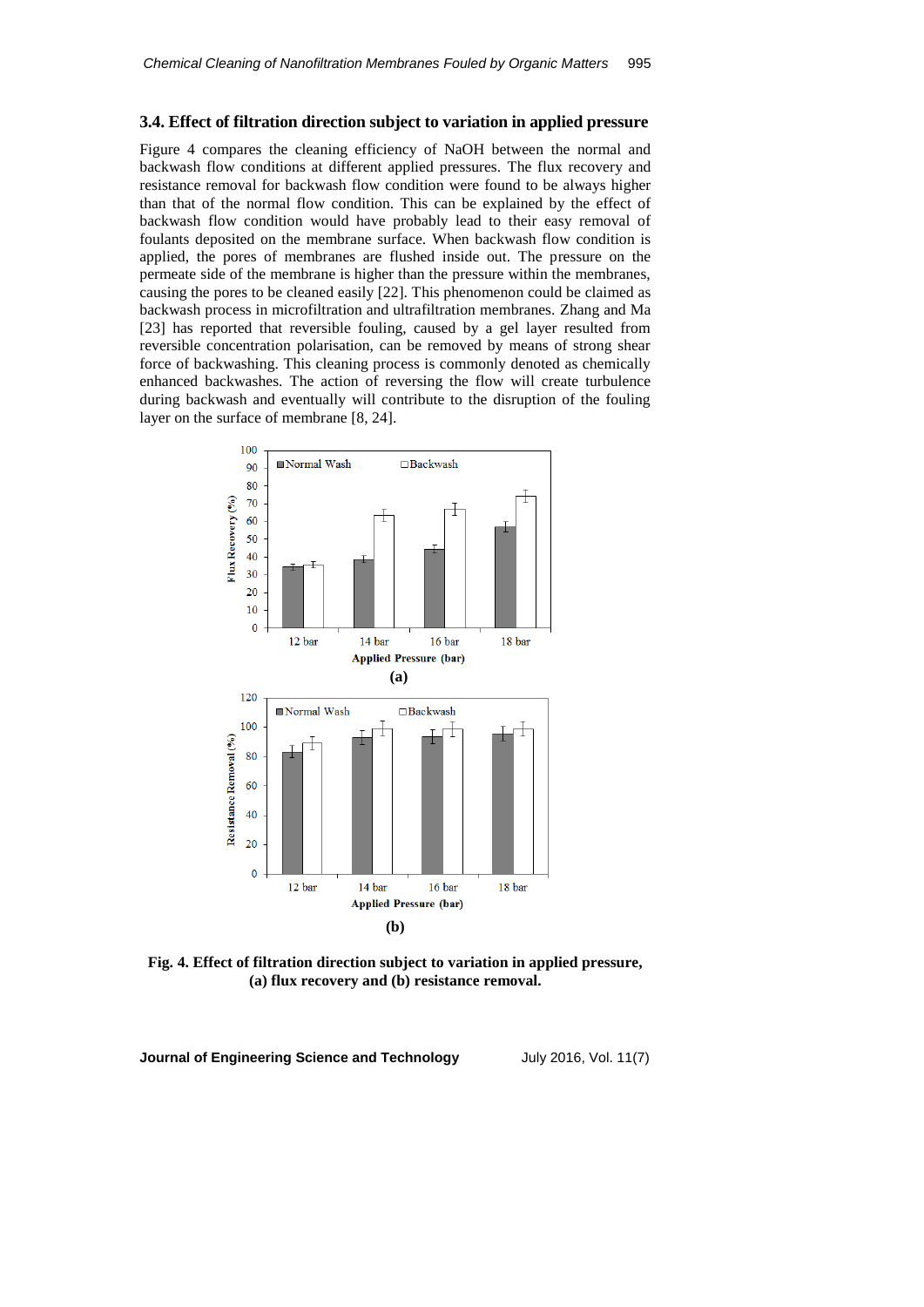## **3.4. Effect of filtration direction subject to variation in applied pressure**

Figure 4 compares the cleaning efficiency of NaOH between the normal and backwash flow conditions at different applied pressures. The flux recovery and resistance removal for backwash flow condition were found to be always higher than that of the normal flow condition. This can be explained by the effect of backwash flow condition would have probably lead to their easy removal of foulants deposited on the membrane surface. When backwash flow condition is applied, the pores of membranes are flushed inside out. The pressure on the permeate side of the membrane is higher than the pressure within the membranes, causing the pores to be cleaned easily [22]. This phenomenon could be claimed as backwash process in microfiltration and ultrafiltration membranes. Zhang and Ma [23] has reported that reversible fouling, caused by a gel layer resulted from reversible concentration polarisation, can be removed by means of strong shear force of backwashing. This cleaning process is commonly denoted as chemically enhanced backwashes. The action of reversing the flow will create turbulence during backwash and eventually will contribute to the disruption of the fouling layer on the surface of membrane [8, 24].



**Fig. 4. Effect of filtration direction subject to variation in applied pressure, (a) flux recovery and (b) resistance removal.**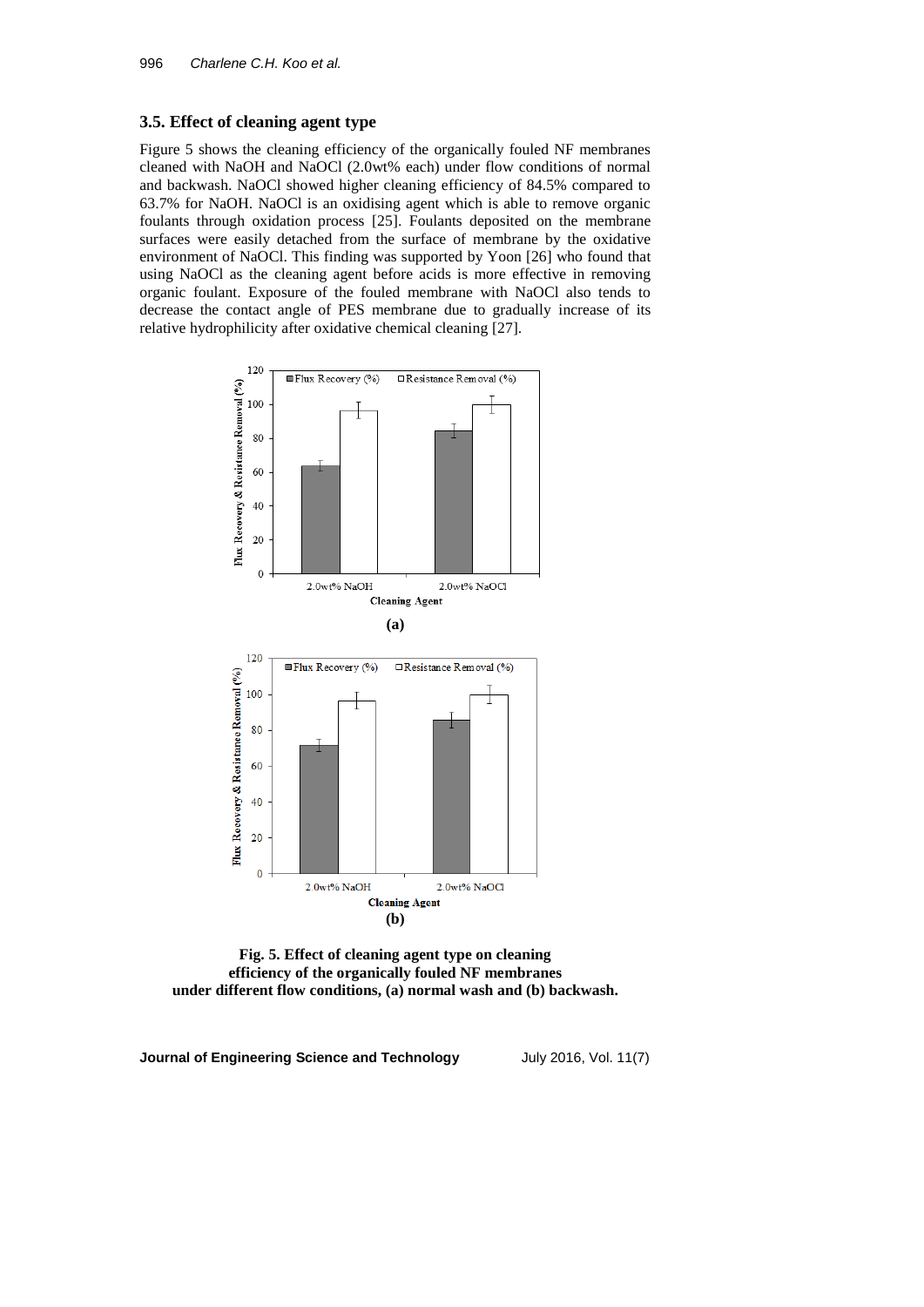# **3.5. Effect of cleaning agent type**

Figure 5 shows the cleaning efficiency of the organically fouled NF membranes cleaned with NaOH and NaOCl (2.0wt% each) under flow conditions of normal and backwash. NaOCl showed higher cleaning efficiency of 84.5% compared to 63.7% for NaOH. NaOCl is an oxidising agent which is able to remove organic foulants through oxidation process [25]. Foulants deposited on the membrane surfaces were easily detached from the surface of membrane by the oxidative environment of NaOCl. This finding was supported by Yoon [26] who found that using NaOCl as the cleaning agent before acids is more effective in removing organic foulant. Exposure of the fouled membrane with NaOCl also tends to decrease the contact angle of PES membrane due to gradually increase of its relative hydrophilicity after oxidative chemical cleaning [27].



**Fig. 5. Effect of cleaning agent type on cleaning efficiency of the organically fouled NF membranes under different flow conditions, (a) normal wash and (b) backwash.**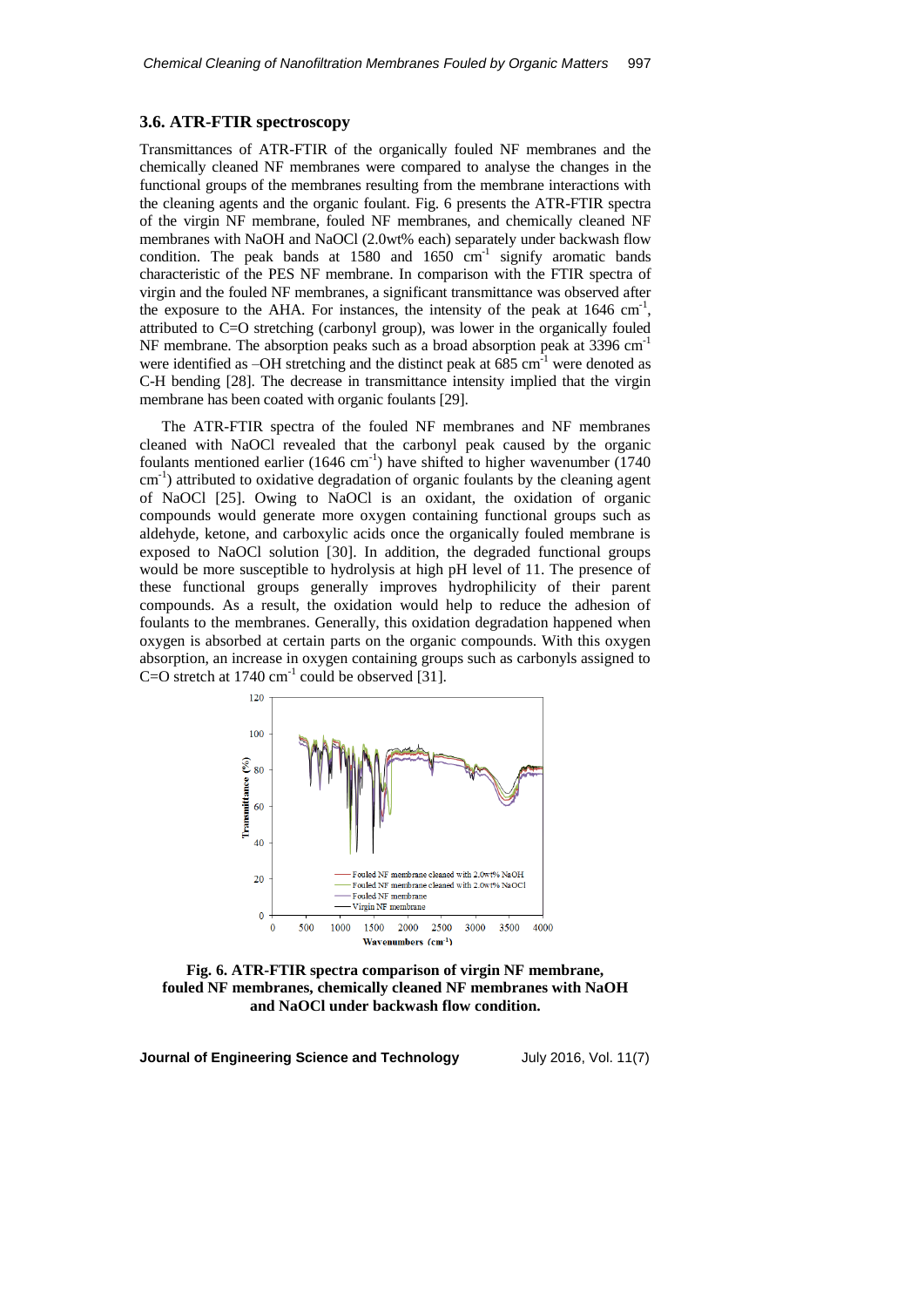## **3.6. ATR-FTIR spectroscopy**

Transmittances of ATR-FTIR of the organically fouled NF membranes and the chemically cleaned NF membranes were compared to analyse the changes in the functional groups of the membranes resulting from the membrane interactions with the cleaning agents and the organic foulant. Fig. 6 presents the ATR-FTIR spectra of the virgin NF membrane, fouled NF membranes, and chemically cleaned NF membranes with NaOH and NaOCl (2.0wt% each) separately under backwash flow condition. The peak bands at  $1580$  and  $1650$  cm<sup>-1</sup> signify aromatic bands characteristic of the PES NF membrane. In comparison with the FTIR spectra of virgin and the fouled NF membranes, a significant transmittance was observed after the exposure to the AHA. For instances, the intensity of the peak at  $1646 \text{ cm}^{-1}$ , attributed to C=O stretching (carbonyl group), was lower in the organically fouled NF membrane. The absorption peaks such as a broad absorption peak at 3396 cm<sup>-1</sup> were identified as  $-OH$  stretching and the distinct peak at 685 cm<sup>-1</sup> were denoted as C-H bending [28]. The decrease in transmittance intensity implied that the virgin membrane has been coated with organic foulants [29].

The ATR-FTIR spectra of the fouled NF membranes and NF membranes cleaned with NaOCl revealed that the carbonyl peak caused by the organic foulants mentioned earlier  $(1646 \text{ cm}^{-1})$  have shifted to higher wavenumber  $(1740 \text{ m})$ cm<sup>-1</sup>) attributed to oxidative degradation of organic foulants by the cleaning agent of NaOCl [25]. Owing to NaOCl is an oxidant, the oxidation of organic compounds would generate more oxygen containing functional groups such as aldehyde, ketone, and carboxylic acids once the organically fouled membrane is exposed to NaOCl solution [30]. In addition, the degraded functional groups would be more susceptible to hydrolysis at high pH level of 11. The presence of these functional groups generally improves hydrophilicity of their parent compounds. As a result, the oxidation would help to reduce the adhesion of foulants to the membranes. Generally, this oxidation degradation happened when oxygen is absorbed at certain parts on the organic compounds. With this oxygen absorption, an increase in oxygen containing groups such as carbonyls assigned to C=O stretch at  $1740 \text{ cm}^{-1}$  could be observed [31].



**Fig. 6. ATR-FTIR spectra comparison of virgin NF membrane, fouled NF membranes, chemically cleaned NF membranes with NaOH and NaOCl under backwash flow condition.**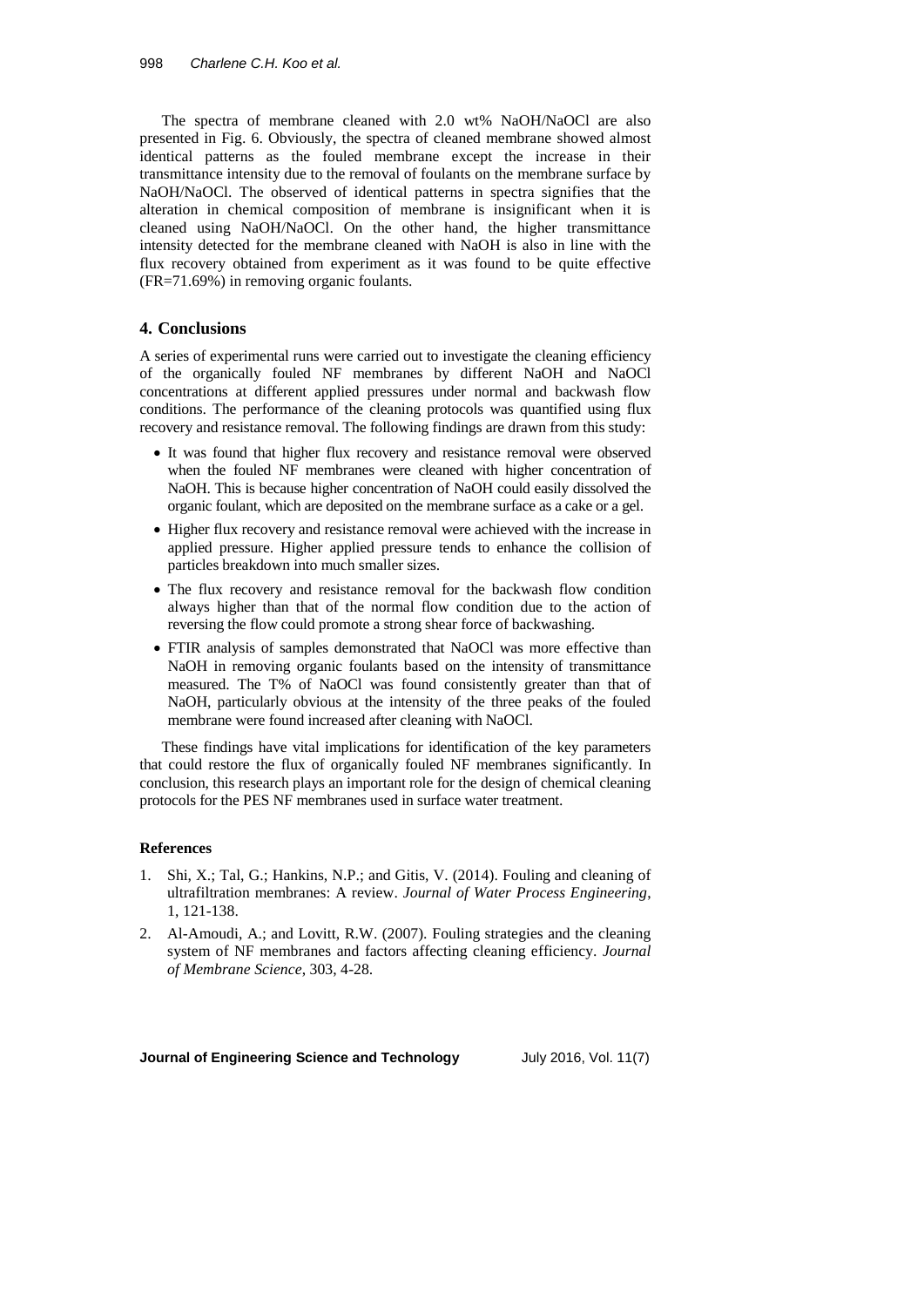The spectra of membrane cleaned with 2.0 wt% NaOH/NaOCl are also presented in Fig. 6. Obviously, the spectra of cleaned membrane showed almost identical patterns as the fouled membrane except the increase in their transmittance intensity due to the removal of foulants on the membrane surface by NaOH/NaOCl. The observed of identical patterns in spectra signifies that the alteration in chemical composition of membrane is insignificant when it is cleaned using NaOH/NaOCl. On the other hand, the higher transmittance intensity detected for the membrane cleaned with NaOH is also in line with the flux recovery obtained from experiment as it was found to be quite effective (FR=71.69%) in removing organic foulants.

# **4. Conclusions**

A series of experimental runs were carried out to investigate the cleaning efficiency of the organically fouled NF membranes by different NaOH and NaOCl concentrations at different applied pressures under normal and backwash flow conditions. The performance of the cleaning protocols was quantified using flux recovery and resistance removal. The following findings are drawn from this study:

- It was found that higher flux recovery and resistance removal were observed when the fouled NF membranes were cleaned with higher concentration of NaOH. This is because higher concentration of NaOH could easily dissolved the organic foulant, which are deposited on the membrane surface as a cake or a gel.
- Higher flux recovery and resistance removal were achieved with the increase in applied pressure. Higher applied pressure tends to enhance the collision of particles breakdown into much smaller sizes.
- The flux recovery and resistance removal for the backwash flow condition always higher than that of the normal flow condition due to the action of reversing the flow could promote a strong shear force of backwashing.
- FTIR analysis of samples demonstrated that NaOCl was more effective than NaOH in removing organic foulants based on the intensity of transmittance measured. The T% of NaOCl was found consistently greater than that of NaOH, particularly obvious at the intensity of the three peaks of the fouled membrane were found increased after cleaning with NaOCl.

These findings have vital implications for identification of the key parameters that could restore the flux of organically fouled NF membranes significantly. In conclusion, this research plays an important role for the design of chemical cleaning protocols for the PES NF membranes used in surface water treatment.

### **References**

- 1. Shi, X.; Tal, G.; Hankins, N.P.; and Gitis, V. (2014). Fouling and cleaning of ultrafiltration membranes: A review. *Journal of Water Process Engineering*, 1, 121-138.
- 2. Al-Amoudi, A.; and Lovitt, R.W. (2007). Fouling strategies and the cleaning system of NF membranes and factors affecting cleaning efficiency. *Journal of Membrane Science*, 303, 4-28.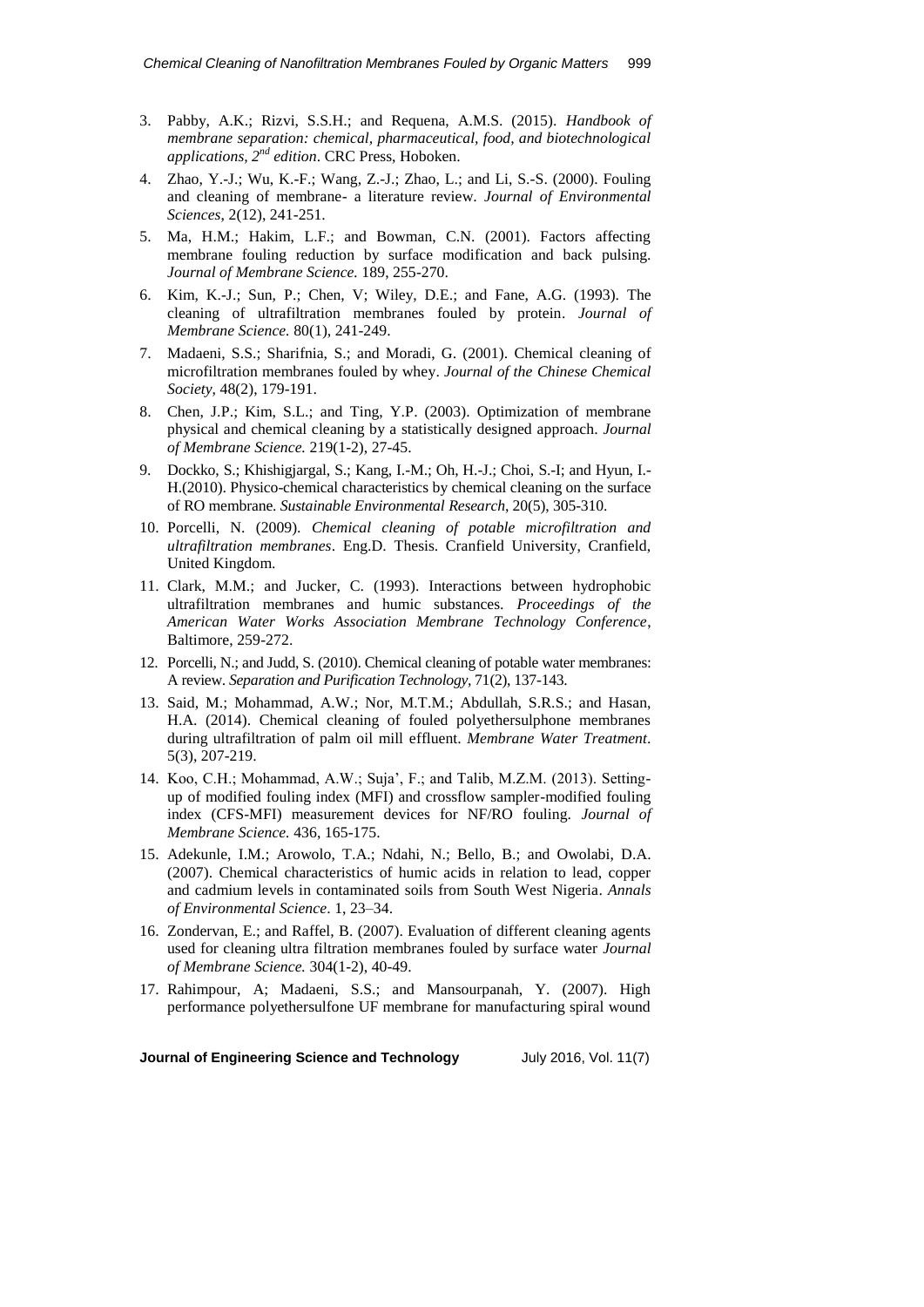- 3. Pabby, A.K.; Rizvi, S.S.H.; and Requena, A.M.S. (2015). *Handbook of membrane separation: chemical, pharmaceutical, food, and biotechnological applications, 2nd edition*. CRC Press, Hoboken.
- 4. Zhao, Y.-J.; Wu, K.-F.; Wang, Z.-J.; Zhao, L.; and Li, S.-S. (2000). Fouling and cleaning of membrane- a literature review. *Journal of Environmental Sciences*, 2(12), 241-251.
- 5. Ma, H.M.; Hakim, L.F.; and Bowman, C.N. (2001). Factors affecting membrane fouling reduction by surface modification and back pulsing. *Journal of Membrane Science.* 189, 255-270.
- 6. Kim, K.-J.; Sun, P.; Chen, V; Wiley, D.E.; and Fane, A.G. (1993). The cleaning of ultrafiltration membranes fouled by protein. *Journal of Membrane Science.* 80(1), 241-249.
- 7. Madaeni, S.S.; Sharifnia, S.; and Moradi, G. (2001). Chemical cleaning of microfiltration membranes fouled by whey. *Journal of the Chinese Chemical Society*, 48(2), 179-191.
- 8. Chen, J.P.; Kim, S.L.; and Ting, Y.P. (2003). Optimization of membrane physical and chemical cleaning by a statistically designed approach. *Journal of Membrane Science.* 219(1-2), 27-45.
- 9. Dockko, S.; Khishigjargal, S.; Kang, I.-M.; Oh, H.-J.; Choi, S.-I; and Hyun, I.- H.(2010). Physico-chemical characteristics by chemical cleaning on the surface of RO membrane. *Sustainable Environmental Research*, 20(5), 305-310.
- 10. Porcelli, N. (2009). *Chemical cleaning of potable microfiltration and ultrafiltration membranes*. Eng.D. Thesis. Cranfield University, Cranfield, United Kingdom.
- 11. Clark, M.M.; and Jucker, C. (1993). Interactions between hydrophobic ultrafiltration membranes and humic substances. *Proceedings of the American Water Works Association Membrane Technology Conference*, Baltimore, 259-272.
- 12. Porcelli, N.; and Judd, S. (2010). Chemical cleaning of potable water membranes: A review. *Separation and Purification Technology,* 71(2), 137-143.
- 13. Said, M.; Mohammad, A.W.; Nor, M.T.M.; Abdullah, S.R.S.; and Hasan, H.A. (2014). Chemical cleaning of fouled polyethersulphone membranes during ultrafiltration of palm oil mill effluent. *Membrane Water Treatment*. 5(3), 207-219.
- 14. Koo, C.H.; Mohammad, A.W.; Suja', F.; and Talib, M.Z.M. (2013). Settingup of modified fouling index (MFI) and crossflow sampler-modified fouling index (CFS-MFI) measurement devices for NF/RO fouling. *Journal of Membrane Science.* 436, 165-175.
- 15. Adekunle, I.M.; Arowolo, T.A.; Ndahi, N.; Bello, B.; and Owolabi, D.A. (2007). Chemical characteristics of humic acids in relation to lead, copper and cadmium levels in contaminated soils from South West Nigeria. *Annals of Environmental Science*. 1, 23–34.
- 16. Zondervan, E.; and Raffel, B. (2007). Evaluation of different cleaning agents used for cleaning ultra filtration membranes fouled by surface water *Journal of Membrane Science.* 304(1-2), 40-49.
- 17. Rahimpour, A; Madaeni, S.S.; and Mansourpanah, Y. (2007). High performance polyethersulfone UF membrane for manufacturing spiral wound